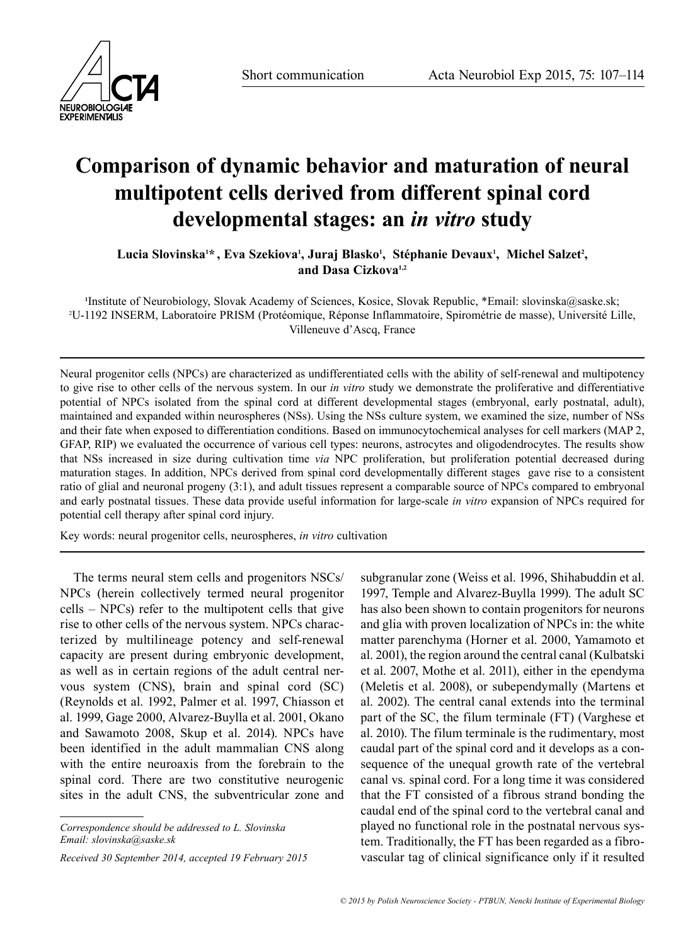

## **Comparison of dynamic behavior and maturation of neural multipotent cells derived from different spinal cord developmental stages: an** *in vitro* **study**

Lucia Slovinska<sup>1\*</sup>, Eva Szekiova<sup>ı</sup>, Juraj Blasko<sup>ı</sup>, Stéphanie Devaux<sup>ı</sup>, Michel Salzet<del>'</del>, **and Dasa Cizkova1,2**

**1** Institute of Neurobiology, Slovak Academy of Sciences, Kosice, Slovak Republic, \*Email: slovinska@saske.sk; 2 U-1192 INSERM, Laboratoire PRISM (Protéomique, Réponse Inflammatoire, Spirométrie de masse), Université Lille, Villeneuve d'Ascq, France

Neural progenitor cells (NPCs) are characterized as undifferentiated cells with the ability of self-renewal and multipotency to give rise to other cells of the nervous system. In our *in vitro* study we demonstrate the proliferative and differentiative potential of NPCs isolated from the spinal cord at different developmental stages (embryonal, early postnatal, adult), maintained and expanded within neurospheres (NSs). Using the NSs culture system, we examined the size, number of NSs and their fate when exposed to differentiation conditions. Based on immunocytochemical analyses for cell markers (MAP 2, GFAP, RIP) we evaluated the occurrence of various cell types: neurons, astrocytes and oligodendrocytes. The results show that NSs increased in size during cultivation time *via* NPC proliferation, but proliferation potential decreased during maturation stages. In addition, NPCs derived from spinal cord developmentally different stages gave rise to a consistent ratio of glial and neuronal progeny (3:1), and adult tissues represent a comparable source of NPCs compared to embryonal and early postnatal tissues. These data provide useful information for large-scale *in vitro* expansion of NPCs required for potential cell therapy after spinal cord injury.

Key words: neural progenitor cells, neurospheres, *in vitro* cultivation

The terms neural stem cells and progenitors NSCs/ NPCs (herein collectively termed neural progenitor cells – NPCs) refer to the multipotent cells that give rise to other cells of the nervous system. NPCs characterized by multilineage potency and self-renewal capacity are present during embryonic development, as well as in certain regions of the adult central nervous system (CNS), brain and spinal cord (SC) (Reynolds et al. 1992, Palmer et al. 1997, Chiasson et al. 1999, Gage 2000, Alvarez-Buylla et al. 2001, Okano and Sawamoto 2008, Skup et al. 2014). NPCs have been identified in the adult mammalian CNS along with the entire neuroaxis from the forebrain to the spinal cord. There are two constitutive neurogenic sites in the adult CNS, the subventricular zone and

*Correspondence should be addressed to L. Slovinska Email: slovinska@saske.sk*

*Received 30 September 2014, accepted 19 February 2015*

subgranular zone (Weiss et al. 1996, Shihabuddin et al. 1997, Temple and Alvarez-Buylla 1999). The adult SC has also been shown to contain progenitors for neurons and glia with proven localization of NPCs in: the white matter parenchyma (Horner et al. 2000, Yamamoto et al. 2001), the region around the central canal (Kulbatski et al. 2007, Mothe et al. 2011), either in the ependyma (Meletis et al. 2008), or subependymally (Martens et al. 2002). The central canal extends into the terminal part of the SC, the filum terminale (FT) (Varghese et al. 2010). The filum terminale is the rudimentary, most caudal part of the spinal cord and it develops as a consequence of the unequal growth rate of the vertebral canal vs*.* spinal cord. For a long time it was considered that the FT consisted of a fibrous strand bonding the caudal end of the spinal cord to the vertebral canal and played no functional role in the postnatal nervous system. Traditionally, the FT has been regarded as a fibrovascular tag of clinical significance only if it resulted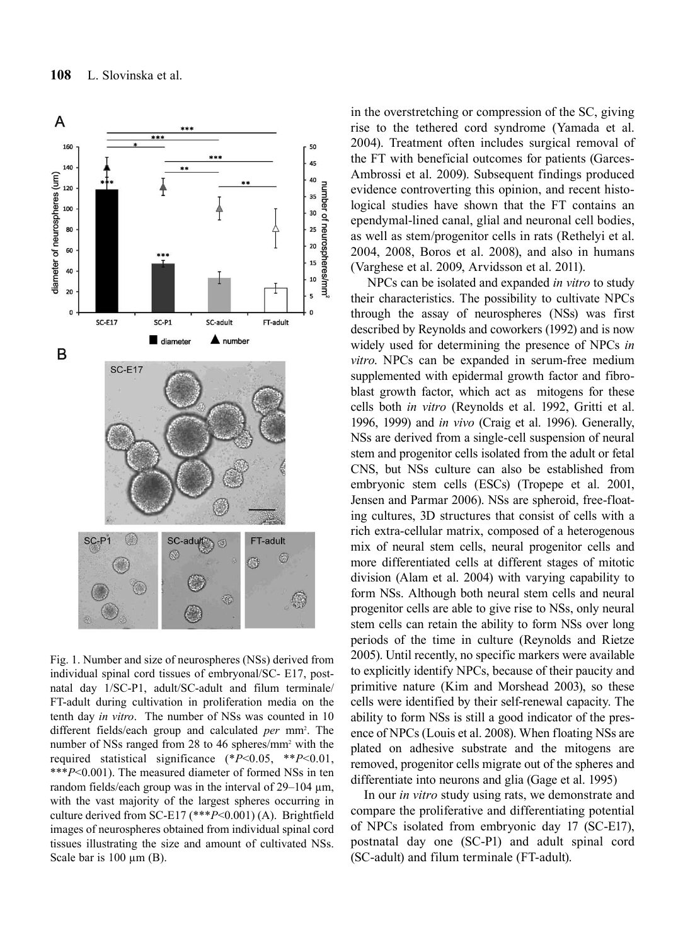

Fig. 1. Number and size of neurospheres (NSs) derived from individual spinal cord tissues of embryonal/SC- E17, postnatal day 1/SC-P1, adult/SC-adult and filum terminale/ FT-adult during cultivation in proliferation media on the tenth day *in vitro*. The number of NSs was counted in 10 different fields/each group and calculated *per* mm2 . The number of NSs ranged from 28 to 46 spheres/mm<sup>2</sup> with the required statistical significance (\**P*<0.05, \*\**P*<0.01, \*\*\**P*<0.001). The measured diameter of formed NSs in ten random fields/each group was in the interval of  $29-104 \mu m$ , with the vast majority of the largest spheres occurring in culture derived from SC-E17 (\*\*\**P*<0.001) (A). Brightfield images of neurospheres obtained from individual spinal cord tissues illustrating the size and amount of cultivated NSs. Scale bar is  $100 \mu m$  (B).

in the overstretching or compression of the SC, giving rise to the tethered cord syndrome (Yamada et al. 2004). Treatment often includes surgical removal of the FT with beneficial outcomes for patients (Garces-Ambrossi et al. 2009). Subsequent findings produced evidence controverting this opinion, and recent histological studies have shown that the FT contains an ependymal-lined canal, glial and neuronal cell bodies, as well as stem/progenitor cells in rats (Rethelyi et al. 2004, 2008, Boros et al. 2008), and also in humans (Varghese et al. 2009, Arvidsson et al. 2011).

 NPCs can be isolated and expanded *in vitro* to study their characteristics. The possibility to cultivate NPCs through the assay of neurospheres (NSs) was first described by Reynolds and coworkers (1992) and is now widely used for determining the presence of NPCs *in vitro*. NPCs can be expanded in serum-free medium supplemented with epidermal growth factor and fibroblast growth factor, which act as mitogens for these cells both *in vitro* (Reynolds et al. 1992, Gritti et al. 1996, 1999) and *in vivo* (Craig et al. 1996). Generally, NSs are derived from a single-cell suspension of neural stem and progenitor cells isolated from the adult or fetal CNS, but NSs culture can also be established from embryonic stem cells (ESCs) (Tropepe et al. 2001, Jensen and Parmar 2006). NSs are spheroid, free-floating cultures, 3D structures that consist of cells with a rich extra-cellular matrix, composed of a heterogenous mix of neural stem cells, neural progenitor cells and more differentiated cells at different stages of mitotic division (Alam et al. 2004) with varying capability to form NSs. Although both neural stem cells and neural progenitor cells are able to give rise to NSs, only neural stem cells can retain the ability to form NSs over long periods of the time in culture (Reynolds and Rietze 2005). Until recently, no specific markers were available to explicitly identify NPCs, because of their paucity and primitive nature (Kim and Morshead 2003), so these cells were identified by their self-renewal capacity. The ability to form NSs is still a good indicator of the presence of NPCs (Louis et al. 2008). When floating NSs are plated on adhesive substrate and the mitogens are removed, progenitor cells migrate out of the spheres and differentiate into neurons and glia (Gage et al. 1995)

In our *in vitro* study using rats, we demonstrate and compare the proliferative and differentiating potential of NPCs isolated from embryonic day 17 (SC-E17), postnatal day one (SC-P1) and adult spinal cord (SC-adult) and filum terminale (FT-adult).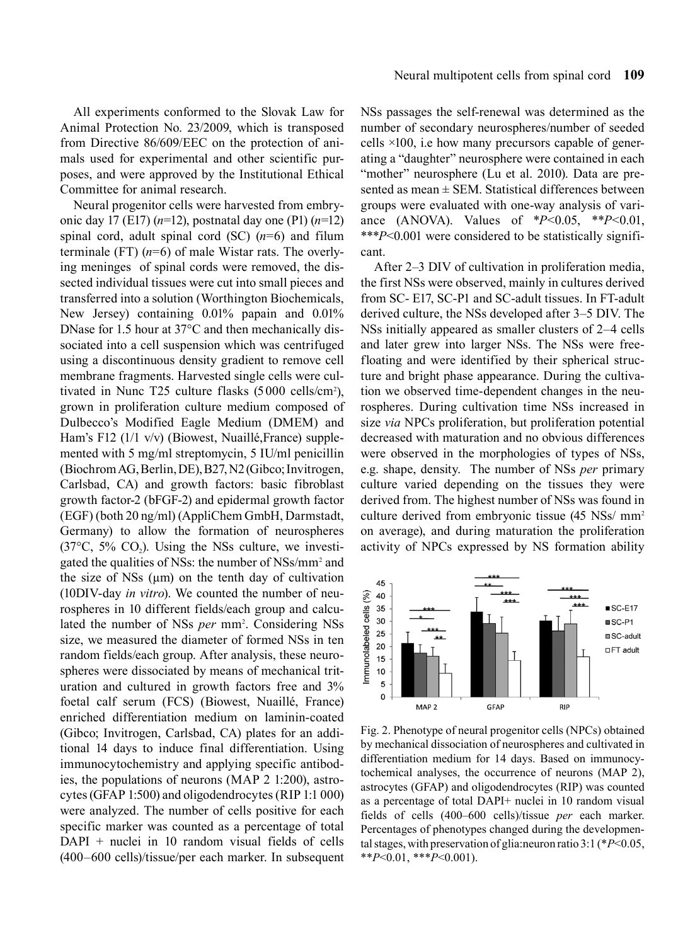All experiments conformed to the Slovak Law for Animal Protection No. 23/2009, which is transposed from Directive 86/609/EEC on the protection of animals used for experimental and other scientific purposes, and were approved by the Institutional Ethical Committee for animal research.

Neural progenitor cells were harvested from embryonic day 17 (E17) (*n*=12), postnatal day one (P1) (*n*=12) spinal cord, adult spinal cord (SC) (*n*=6) and filum terminale (FT)  $(n=6)$  of male Wistar rats. The overlying meninges of spinal cords were removed, the dissected individual tissues were cut into small pieces and transferred into a solution (Worthington Biochemicals, New Jersey) containing 0.01% papain and 0.01% DNase for 1.5 hour at 37°C and then mechanically dissociated into a cell suspension which was centrifuged using a discontinuous density gradient to remove cell membrane fragments. Harvested single cells were cultivated in Nunc T25 culture flasks  $(5000 \text{ cells/cm}^2)$ , grown in proliferation culture medium composed of Dulbecco's Modified Eagle Medium (DMEM) and Ham's F12 (1/1 v/v) (Biowest, Nuaillé,France) supplemented with 5 mg/ml streptomycin, 5 IU/ml penicillin (Biochrom AG, Berlin, DE), B27, N2 (Gibco; Invitrogen, Carlsbad, CA) and growth factors: basic fibroblast growth factor-2 (bFGF-2) and epidermal growth factor (EGF) (both 20 ng/ml) (AppliChem GmbH, Darmstadt, Germany) to allow the formation of neurospheres  $(37^{\circ}C, 5\%$  CO<sub>2</sub>). Using the NSs culture, we investigated the qualities of NSs: the number of NSs/mm<sup>2</sup> and the size of NSs  $(\mu m)$  on the tenth day of cultivation (10DIV-day *in vitro*). We counted the number of neurospheres in 10 different fields/each group and calculated the number of NSs *per* mm<sup>2</sup>. Considering NSs size, we measured the diameter of formed NSs in ten random fields/each group. After analysis, these neurospheres were dissociated by means of mechanical trituration and cultured in growth factors free and 3% foetal calf serum (FCS) (Biowest, Nuaillé, France) enriched differentiation medium on laminin-coated (Gibco; Invitrogen, Carlsbad, CA) plates for an additional 14 days to induce final differentiation. Using immunocytochemistry and applying specific antibodies, the populations of neurons (MAP 2 1:200), astrocytes (GFAP 1:500) and oligodendrocytes (RIP 1:1 000) were analyzed. The number of cells positive for each specific marker was counted as a percentage of total DAPI + nuclei in 10 random visual fields of cells (400–600 cells)/tissue/per each marker. In subsequent

NSs passages the self-renewal was determined as the number of secondary neurospheres/number of seeded cells ×100, i.e how many precursors capable of generating a "daughter" neurosphere were contained in each "mother" neurosphere (Lu et al. 2010). Data are presented as mean  $\pm$  SEM. Statistical differences between groups were evaluated with one-way analysis of variance (ANOVA). Values of \**P*<0.05, \*\**P*<0.01, \*\*\**P*<0.001 were considered to be statistically significant.

After 2–3 DIV of cultivation in proliferation media, the first NSs were observed, mainly in cultures derived from SC- E17, SC-P1 and SC-adult tissues. In FT-adult derived culture, the NSs developed after 3–5 DIV. The NSs initially appeared as smaller clusters of 2–4 cells and later grew into larger NSs. The NSs were freefloating and were identified by their spherical structure and bright phase appearance. During the cultivation we observed time-dependent changes in the neurospheres. During cultivation time NSs increased in size *via* NPCs proliferation, but proliferation potential decreased with maturation and no obvious differences were observed in the morphologies of types of NSs, e.g. shape, density. The number of NSs *per* primary culture varied depending on the tissues they were derived from. The highest number of NSs was found in culture derived from embryonic tissue (45 NSs/ mm<sup>2</sup>) on average), and during maturation the proliferation activity of NPCs expressed by NS formation ability



Fig. 2. Phenotype of neural progenitor cells (NPCs) obtained by mechanical dissociation of neurospheres and cultivated in differentiation medium for 14 days. Based on immunocytochemical analyses, the occurrence of neurons (MAP 2), astrocytes (GFAP) and oligodendrocytes (RIP) was counted as a percentage of total DAPI+ nuclei in 10 random visual fields of cells (400–600 cells)/tissue *per* each marker. Percentages of phenotypes changed during the developmental stages, with preservation of glia:neuron ratio 3:1 (\**P*<0.05, \*\**P*<0.01, \*\*\**P*<0.001).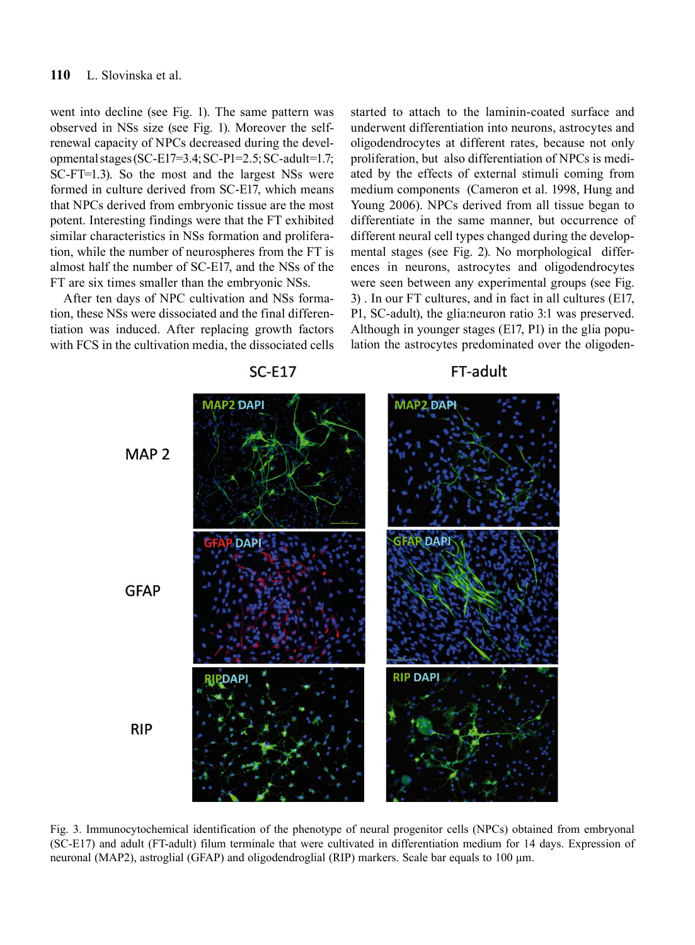went into decline (see Fig. 1). The same pattern was observed in NSs size (see Fig. 1). Moreover the selfrenewal capacity of NPCs decreased during the developmental stages (SC-E17=3.4; SC-P1=2.5; SC-adult=1.7; SC-FT=1.3). So the most and the largest NSs were formed in culture derived from SC-E17, which means that NPCs derived from embryonic tissue are the most potent. Interesting findings were that the FT exhibited similar characteristics in NSs formation and proliferation, while the number of neurospheres from the FT is almost half the number of SC-E17, and the NSs of the FT are six times smaller than the embryonic NSs.

After ten days of NPC cultivation and NSs formation, these NSs were dissociated and the final differentiation was induced. After replacing growth factors with FCS in the cultivation media, the dissociated cells started to attach to the laminin-coated surface and underwent differentiation into neurons, astrocytes and oligodendrocytes at different rates, because not only proliferation, but also differentiation of NPCs is mediated by the effects of external stimuli coming from medium components (Cameron et al. 1998, Hung and Young 2006). NPCs derived from all tissue began to differentiate in the same manner, but occurrence of different neural cell types changed during the developmental stages (see Fig. 2). No morphological differences in neurons, astrocytes and oligodendrocytes were seen between any experimental groups (see Fig. 3) . In our FT cultures, and in fact in all cultures (E17, P1, SC-adult), the glia:neuron ratio 3:1 was preserved. Although in younger stages (E17, P1) in the glia population the astrocytes predominated over the oligoden-



Fig. 3. Immunocytochemical identification of the phenotype of neural progenitor cells (NPCs) obtained from embryonal (SC-E17) and adult (FT-adult) filum terminale that were cultivated in differentiation medium for 14 days. Expression of neuronal (MAP2), astroglial (GFAP) and oligodendroglial (RIP) markers. Scale bar equals to 100 μm.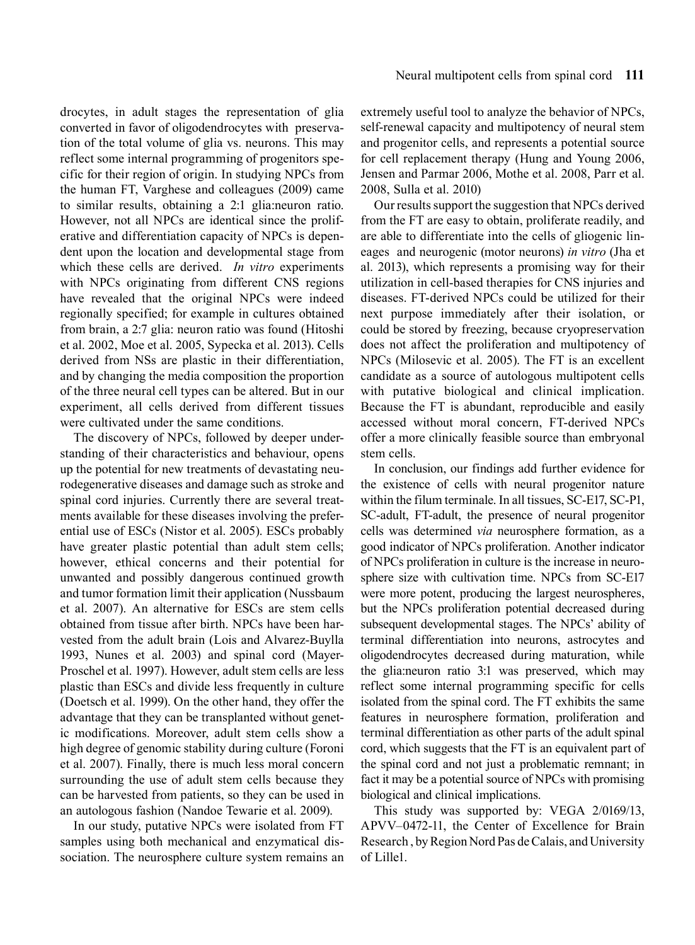drocytes, in adult stages the representation of glia converted in favor of oligodendrocytes with preservation of the total volume of glia vs. neurons. This may reflect some internal programming of progenitors specific for their region of origin. In studying NPCs from the human FT, Varghese and colleagues (2009) came to similar results, obtaining a 2:1 glia:neuron ratio. However, not all NPCs are identical since the proliferative and differentiation capacity of NPCs is dependent upon the location and developmental stage from which these cells are derived. *In vitro* experiments with NPCs originating from different CNS regions have revealed that the original NPCs were indeed regionally specified; for example in cultures obtained from brain, a 2:7 glia: neuron ratio was found (Hitoshi et al. 2002, Moe et al. 2005, Sypecka et al. 2013). Cells derived from NSs are plastic in their differentiation, and by changing the media composition the proportion of the three neural cell types can be altered. But in our experiment, all cells derived from different tissues were cultivated under the same conditions.

The discovery of NPCs, followed by deeper understanding of their characteristics and behaviour, opens up the potential for new treatments of devastating neurodegenerative diseases and damage such as stroke and spinal cord injuries. Currently there are several treatments available for these diseases involving the preferential use of ESCs (Nistor et al. 2005). ESCs probably have greater plastic potential than adult stem cells; however, ethical concerns and their potential for unwanted and possibly dangerous continued growth and tumor formation limit their application (Nussbaum et al. 2007). An alternative for ESCs are stem cells obtained from tissue after birth. NPCs have been harvested from the adult brain (Lois and Alvarez-Buylla 1993, Nunes et al. 2003) and spinal cord (Mayer-Proschel et al. 1997). However, adult stem cells are less plastic than ESCs and divide less frequently in culture (Doetsch et al. 1999). On the other hand, they offer the advantage that they can be transplanted without genetic modifications. Moreover, adult stem cells show a high degree of genomic stability during culture (Foroni et al. 2007). Finally, there is much less moral concern surrounding the use of adult stem cells because they can be harvested from patients, so they can be used in an autologous fashion (Nandoe Tewarie et al. 2009).

In our study, putative NPCs were isolated from FT samples using both mechanical and enzymatical dissociation. The neurosphere culture system remains an extremely useful tool to analyze the behavior of NPCs, self-renewal capacity and multipotency of neural stem and progenitor cells, and represents a potential source for cell replacement therapy (Hung and Young 2006, Jensen and Parmar 2006, Mothe et al. 2008, Parr et al. 2008, Sulla et al. 2010)

Our results support the suggestion that NPCs derived from the FT are easy to obtain, proliferate readily, and are able to differentiate into the cells of gliogenic lineages and neurogenic (motor neurons) *in vitro* (Jha et al. 2013), which represents a promising way for their utilization in cell-based therapies for CNS injuries and diseases. FT-derived NPCs could be utilized for their next purpose immediately after their isolation, or could be stored by freezing, because cryopreservation does not affect the proliferation and multipotency of NPCs (Milosevic et al. 2005). The FT is an excellent candidate as a source of autologous multipotent cells with putative biological and clinical implication. Because the FT is abundant, reproducible and easily accessed without moral concern, FT-derived NPCs offer a more clinically feasible source than embryonal stem cells.

In conclusion, our findings add further evidence for the existence of cells with neural progenitor nature within the filum terminale. In all tissues, SC-E17, SC-P1, SC-adult, FT-adult, the presence of neural progenitor cells was determined *via* neurosphere formation, as a good indicator of NPCs proliferation. Another indicator of NPCs proliferation in culture is the increase in neurosphere size with cultivation time. NPCs from SC-E17 were more potent, producing the largest neurospheres, but the NPCs proliferation potential decreased during subsequent developmental stages. The NPCs' ability of terminal differentiation into neurons, astrocytes and oligodendrocytes decreased during maturation, while the glia:neuron ratio 3:1 was preserved, which may reflect some internal programming specific for cells isolated from the spinal cord. The FT exhibits the same features in neurosphere formation, proliferation and terminal differentiation as other parts of the adult spinal cord, which suggests that the FT is an equivalent part of the spinal cord and not just a problematic remnant; in fact it may be a potential source of NPCs with promising biological and clinical implications.

This study was supported by: VEGA 2/0169/13, APVV–0472-11, the Center of Excellence for Brain Research , by Region Nord Pas de Calais, and University of Lille1.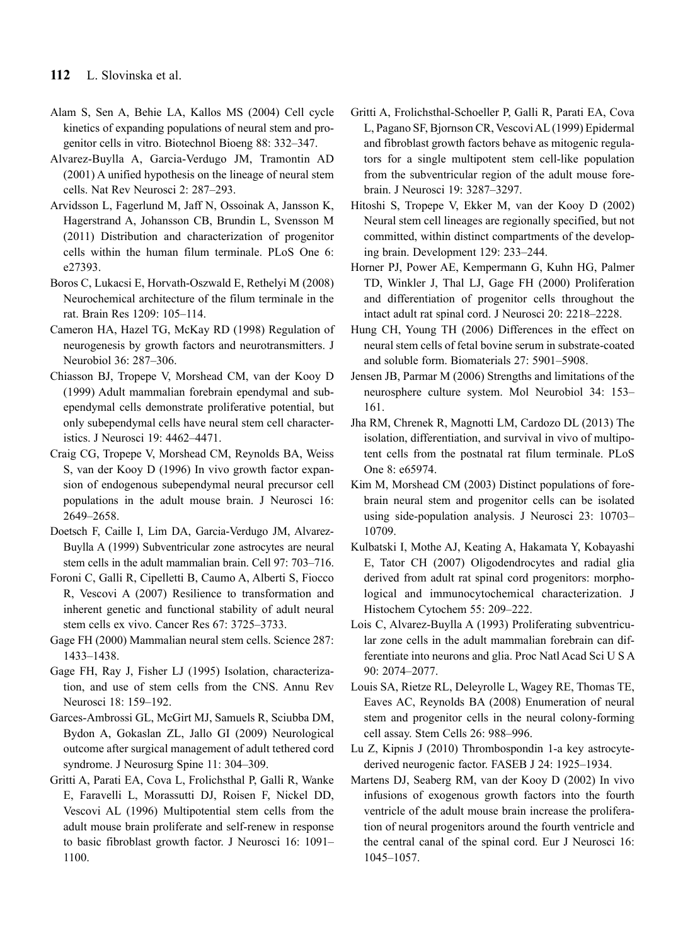- Alam S, Sen A, Behie LA, Kallos MS (2004) Cell cycle kinetics of expanding populations of neural stem and progenitor cells in vitro. Biotechnol Bioeng 88: 332–347.
- Alvarez-Buylla A, Garcia-Verdugo JM, Tramontin AD (2001) A unified hypothesis on the lineage of neural stem cells. Nat Rev Neurosci 2: 287–293.
- Arvidsson L, Fagerlund M, Jaff N, Ossoinak A, Jansson K, Hagerstrand A, Johansson CB, Brundin L, Svensson M (2011) Distribution and characterization of progenitor cells within the human filum terminale. PLoS One 6: e27393.
- Boros C, Lukacsi E, Horvath-Oszwald E, Rethelyi M (2008) Neurochemical architecture of the filum terminale in the rat. Brain Res 1209: 105–114.
- Cameron HA, Hazel TG, McKay RD (1998) Regulation of neurogenesis by growth factors and neurotransmitters. J Neurobiol 36: 287–306.
- Chiasson BJ, Tropepe V, Morshead CM, van der Kooy D (1999) Adult mammalian forebrain ependymal and subependymal cells demonstrate proliferative potential, but only subependymal cells have neural stem cell characteristics. J Neurosci 19: 4462–4471.
- Craig CG, Tropepe V, Morshead CM, Reynolds BA, Weiss S, van der Kooy D (1996) In vivo growth factor expansion of endogenous subependymal neural precursor cell populations in the adult mouse brain. J Neurosci 16: 2649–2658.
- Doetsch F, Caille I, Lim DA, Garcia-Verdugo JM, Alvarez-Buylla A (1999) Subventricular zone astrocytes are neural stem cells in the adult mammalian brain. Cell 97: 703–716.
- Foroni C, Galli R, Cipelletti B, Caumo A, Alberti S, Fiocco R, Vescovi A (2007) Resilience to transformation and inherent genetic and functional stability of adult neural stem cells ex vivo. Cancer Res 67: 3725–3733.
- Gage FH (2000) Mammalian neural stem cells. Science 287: 1433–1438.
- Gage FH, Ray J, Fisher LJ (1995) Isolation, characterization, and use of stem cells from the CNS. Annu Rev Neurosci 18: 159–192.
- Garces-Ambrossi GL, McGirt MJ, Samuels R, Sciubba DM, Bydon A, Gokaslan ZL, Jallo GI (2009) Neurological outcome after surgical management of adult tethered cord syndrome. J Neurosurg Spine 11: 304–309.
- Gritti A, Parati EA, Cova L, Frolichsthal P, Galli R, Wanke E, Faravelli L, Morassutti DJ, Roisen F, Nickel DD, Vescovi AL (1996) Multipotential stem cells from the adult mouse brain proliferate and self-renew in response to basic fibroblast growth factor. J Neurosci 16: 1091– 1100.
- Gritti A, Frolichsthal-Schoeller P, Galli R, Parati EA, Cova L, Pagano SF, Bjornson CR, Vescovi AL (1999) Epidermal and fibroblast growth factors behave as mitogenic regulators for a single multipotent stem cell-like population from the subventricular region of the adult mouse forebrain. J Neurosci 19: 3287–3297.
- Hitoshi S, Tropepe V, Ekker M, van der Kooy D (2002) Neural stem cell lineages are regionally specified, but not committed, within distinct compartments of the developing brain. Development 129: 233–244.
- Horner PJ, Power AE, Kempermann G, Kuhn HG, Palmer TD, Winkler J, Thal LJ, Gage FH (2000) Proliferation and differentiation of progenitor cells throughout the intact adult rat spinal cord. J Neurosci 20: 2218–2228.
- Hung CH, Young TH (2006) Differences in the effect on neural stem cells of fetal bovine serum in substrate-coated and soluble form. Biomaterials 27: 5901–5908.
- Jensen JB, Parmar M (2006) Strengths and limitations of the neurosphere culture system. Mol Neurobiol 34: 153– 161.
- Jha RM, Chrenek R, Magnotti LM, Cardozo DL (2013) The isolation, differentiation, and survival in vivo of multipotent cells from the postnatal rat filum terminale. PLoS One 8: e65974.
- Kim M, Morshead CM (2003) Distinct populations of forebrain neural stem and progenitor cells can be isolated using side-population analysis. J Neurosci 23: 10703– 10709.
- Kulbatski I, Mothe AJ, Keating A, Hakamata Y, Kobayashi E, Tator CH (2007) Oligodendrocytes and radial glia derived from adult rat spinal cord progenitors: morphological and immunocytochemical characterization. J Histochem Cytochem 55: 209–222.
- Lois C, Alvarez-Buylla A (1993) Proliferating subventricular zone cells in the adult mammalian forebrain can differentiate into neurons and glia. Proc Natl Acad Sci U S A 90: 2074–2077.
- Louis SA, Rietze RL, Deleyrolle L, Wagey RE, Thomas TE, Eaves AC, Reynolds BA (2008) Enumeration of neural stem and progenitor cells in the neural colony-forming cell assay. Stem Cells 26: 988–996.
- Lu Z, Kipnis J (2010) Thrombospondin 1-a key astrocytederived neurogenic factor. FASEB J 24: 1925–1934.
- Martens DJ, Seaberg RM, van der Kooy D (2002) In vivo infusions of exogenous growth factors into the fourth ventricle of the adult mouse brain increase the proliferation of neural progenitors around the fourth ventricle and the central canal of the spinal cord. Eur J Neurosci 16: 1045–1057.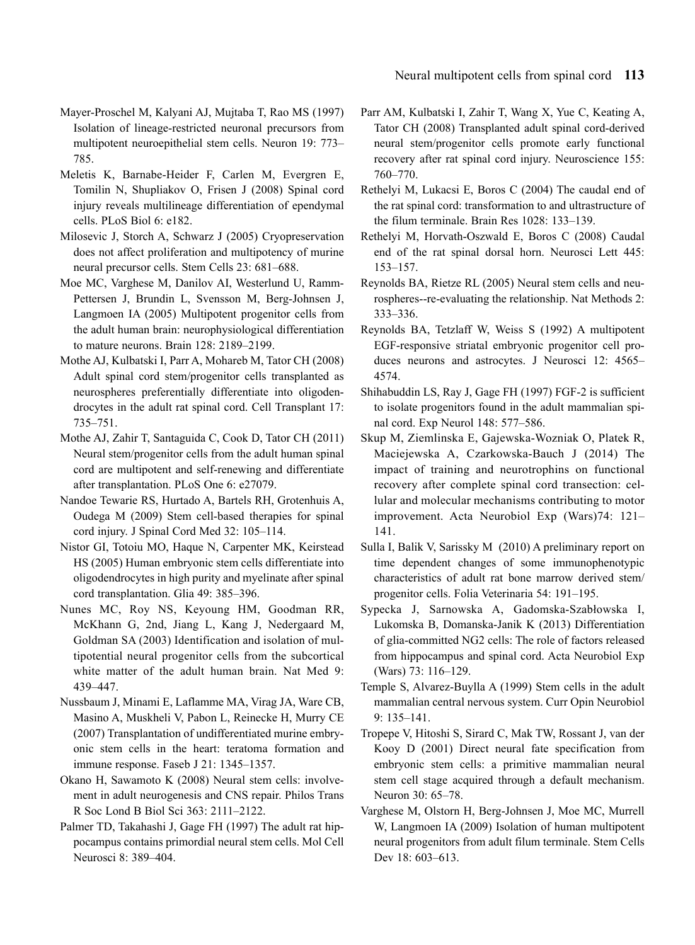- Mayer-Proschel M, Kalyani AJ, Mujtaba T, Rao MS (1997) Isolation of lineage-restricted neuronal precursors from multipotent neuroepithelial stem cells. Neuron 19: 773– 785.
- Meletis K, Barnabe-Heider F, Carlen M, Evergren E, Tomilin N, Shupliakov O, Frisen J (2008) Spinal cord injury reveals multilineage differentiation of ependymal cells. PLoS Biol 6: e182.
- Milosevic J, Storch A, Schwarz J (2005) Cryopreservation does not affect proliferation and multipotency of murine neural precursor cells. Stem Cells 23: 681–688.
- Moe MC, Varghese M, Danilov AI, Westerlund U, Ramm-Pettersen J, Brundin L, Svensson M, Berg-Johnsen J, Langmoen IA (2005) Multipotent progenitor cells from the adult human brain: neurophysiological differentiation to mature neurons. Brain 128: 2189–2199.
- Mothe AJ, Kulbatski I, Parr A, Mohareb M, Tator CH (2008) Adult spinal cord stem/progenitor cells transplanted as neurospheres preferentially differentiate into oligodendrocytes in the adult rat spinal cord. Cell Transplant 17: 735–751.
- Mothe AJ, Zahir T, Santaguida C, Cook D, Tator CH (2011) Neural stem/progenitor cells from the adult human spinal cord are multipotent and self-renewing and differentiate after transplantation. PLoS One 6: e27079.
- Nandoe Tewarie RS, Hurtado A, Bartels RH, Grotenhuis A, Oudega M (2009) Stem cell-based therapies for spinal cord injury. J Spinal Cord Med 32: 105–114.
- Nistor GI, Totoiu MO, Haque N, Carpenter MK, Keirstead HS (2005) Human embryonic stem cells differentiate into oligodendrocytes in high purity and myelinate after spinal cord transplantation. Glia 49: 385–396.
- Nunes MC, Roy NS, Keyoung HM, Goodman RR, McKhann G, 2nd, Jiang L, Kang J, Nedergaard M, Goldman SA (2003) Identification and isolation of multipotential neural progenitor cells from the subcortical white matter of the adult human brain. Nat Med 9: 439–447.
- Nussbaum J, Minami E, Laflamme MA, Virag JA, Ware CB, Masino A, Muskheli V, Pabon L, Reinecke H, Murry CE (2007) Transplantation of undifferentiated murine embryonic stem cells in the heart: teratoma formation and immune response. Faseb J 21: 1345–1357.
- Okano H, Sawamoto K (2008) Neural stem cells: involvement in adult neurogenesis and CNS repair. Philos Trans R Soc Lond B Biol Sci 363: 2111–2122.
- Palmer TD, Takahashi J, Gage FH (1997) The adult rat hippocampus contains primordial neural stem cells. Mol Cell Neurosci 8: 389–404.
- Parr AM, Kulbatski I, Zahir T, Wang X, Yue C, Keating A, Tator CH (2008) Transplanted adult spinal cord-derived neural stem/progenitor cells promote early functional recovery after rat spinal cord injury. Neuroscience 155: 760–770.
- Rethelyi M, Lukacsi E, Boros C (2004) The caudal end of the rat spinal cord: transformation to and ultrastructure of the filum terminale. Brain Res 1028: 133–139.
- Rethelyi M, Horvath-Oszwald E, Boros C (2008) Caudal end of the rat spinal dorsal horn. Neurosci Lett 445: 153–157.
- Reynolds BA, Rietze RL (2005) Neural stem cells and neurospheres--re-evaluating the relationship. Nat Methods 2: 333–336.
- Reynolds BA, Tetzlaff W, Weiss S (1992) A multipotent EGF-responsive striatal embryonic progenitor cell produces neurons and astrocytes. J Neurosci 12: 4565– 4574.
- Shihabuddin LS, Ray J, Gage FH (1997) FGF-2 is sufficient to isolate progenitors found in the adult mammalian spinal cord. Exp Neurol 148: 577–586.
- Skup M, Ziemlinska E, Gajewska-Wozniak O, Platek R, Maciejewska A, Czarkowska-Bauch J (2014) The impact of training and neurotrophins on functional recovery after complete spinal cord transection: cellular and molecular mechanisms contributing to motor improvement. Acta Neurobiol Exp (Wars)74: 121– 141.
- Sulla I, Balik V, Sarissky M (2010) A preliminary report on time dependent changes of some immunophenotypic characteristics of adult rat bone marrow derived stem/ progenitor cells. Folia Veterinaria 54: 191–195.
- Sypecka J, Sarnowska A, Gadomska-Szabłowska I, Lukomska B, Domanska-Janik K (2013) Differentiation of glia-committed NG2 cells: The role of factors released from hippocampus and spinal cord. Acta Neurobiol Exp (Wars) 73: 116–129.
- Temple S, Alvarez-Buylla A (1999) Stem cells in the adult mammalian central nervous system. Curr Opin Neurobiol 9: 135–141.
- Tropepe V, Hitoshi S, Sirard C, Mak TW, Rossant J, van der Kooy D (2001) Direct neural fate specification from embryonic stem cells: a primitive mammalian neural stem cell stage acquired through a default mechanism. Neuron 30: 65–78.
- Varghese M, Olstorn H, Berg-Johnsen J, Moe MC, Murrell W, Langmoen IA (2009) Isolation of human multipotent neural progenitors from adult filum terminale. Stem Cells Dev 18: 603-613.